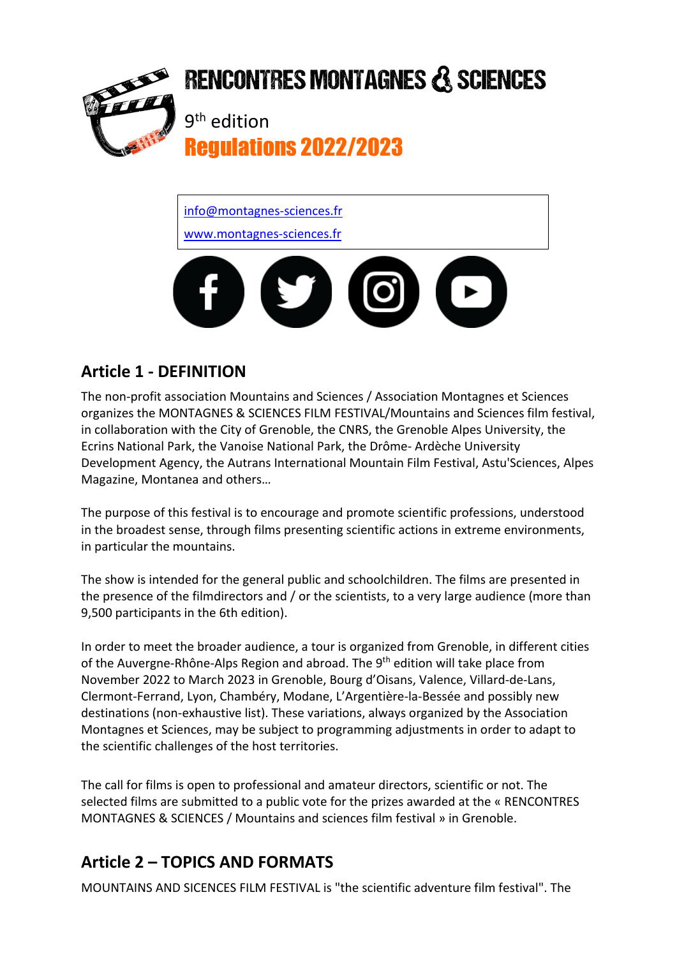

# **RENCONTRES MONTAGNES & SCIENCES**

9th edition Regulations 2022/2023

info@montagnes-sciences.fr www.montagnes-sciences.fr



#### **Article 1 - DEFINITION**

The non-profit association Mountains and Sciences / Association Montagnes et Sciences organizes the MONTAGNES & SCIENCES FILM FESTIVAL/Mountains and Sciences film festival, in collaboration with the City of Grenoble, the CNRS, the Grenoble Alpes University, the Ecrins National Park, the Vanoise National Park, the Drôme- Ardèche University Development Agency, the Autrans International Mountain Film Festival, Astu'Sciences, Alpes Magazine, Montanea and others…

The purpose of this festival is to encourage and promote scientific professions, understood in the broadest sense, through films presenting scientific actions in extreme environments, in particular the mountains.

The show is intended for the general public and schoolchildren. The films are presented in the presence of the filmdirectors and / or the scientists, to a very large audience (more than 9,500 participants in the 6th edition).

In order to meet the broader audience, a tour is organized from Grenoble, in different cities of the Auvergne-Rhône-Alps Region and abroad. The 9<sup>th</sup> edition will take place from November 2022 to March 2023 in Grenoble, Bourg d'Oisans, Valence, Villard-de-Lans, Clermont-Ferrand, Lyon, Chambéry, Modane, L'Argentière-la-Bessée and possibly new destinations (non-exhaustive list). These variations, always organized by the Association Montagnes et Sciences, may be subject to programming adjustments in order to adapt to the scientific challenges of the host territories.

The call for films is open to professional and amateur directors, scientific or not. The selected films are submitted to a public vote for the prizes awarded at the « RENCONTRES MONTAGNES & SCIENCES / Mountains and sciences film festival » in Grenoble.

### **Article 2 – TOPICS AND FORMATS**

MOUNTAINS AND SICENCES FILM FESTIVAL is "the scientific adventure film festival". The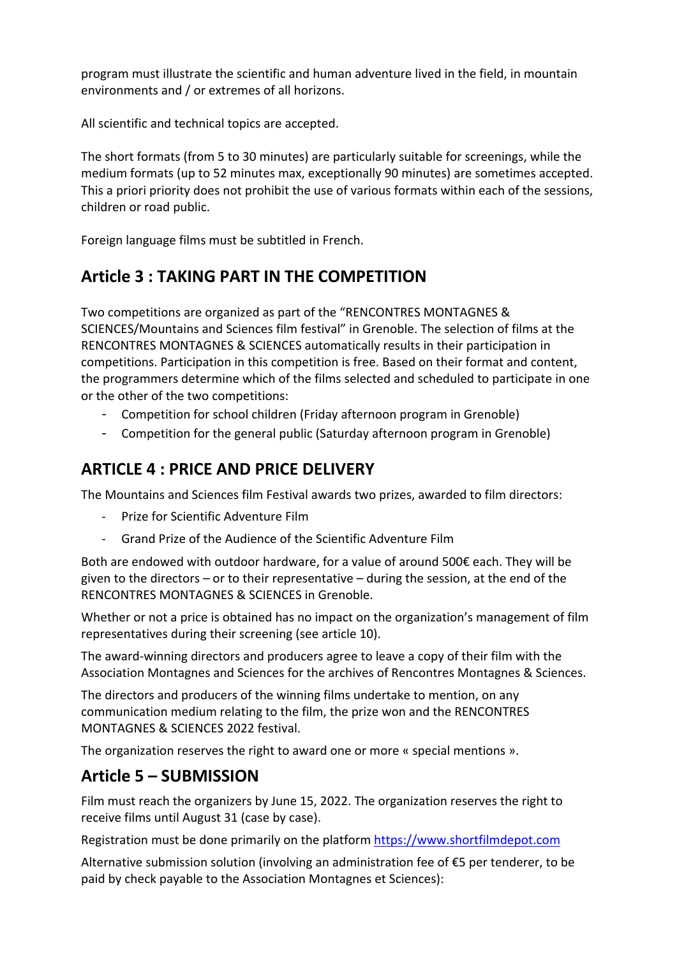program must illustrate the scientific and human adventure lived in the field, in mountain environments and / or extremes of all horizons.

All scientific and technical topics are accepted.

The short formats (from 5 to 30 minutes) are particularly suitable for screenings, while the medium formats (up to 52 minutes max, exceptionally 90 minutes) are sometimes accepted. This a priori priority does not prohibit the use of various formats within each of the sessions, children or road public.

Foreign language films must be subtitled in French.

#### **Article 3 : TAKING PART IN THE COMPETITION**

Two competitions are organized as part of the "RENCONTRES MONTAGNES & SCIENCES/Mountains and Sciences film festival" in Grenoble. The selection of films at the RENCONTRES MONTAGNES & SCIENCES automatically results in their participation in competitions. Participation in this competition is free. Based on their format and content, the programmers determine which of the films selected and scheduled to participate in one or the other of the two competitions:

- Competition for school children (Friday afternoon program in Grenoble)
- Competition for the general public (Saturday afternoon program in Grenoble)

#### **ARTICLE 4 : PRICE AND PRICE DELIVERY**

The Mountains and Sciences film Festival awards two prizes, awarded to film directors:

- Prize for Scientific Adventure Film
- Grand Prize of the Audience of the Scientific Adventure Film

Both are endowed with outdoor hardware, for a value of around 500€ each. They will be given to the directors – or to their representative – during the session, at the end of the RENCONTRES MONTAGNES & SCIENCES in Grenoble.

Whether or not a price is obtained has no impact on the organization's management of film representatives during their screening (see article 10).

The award-winning directors and producers agree to leave a copy of their film with the Association Montagnes and Sciences for the archives of Rencontres Montagnes & Sciences.

The directors and producers of the winning films undertake to mention, on any communication medium relating to the film, the prize won and the RENCONTRES MONTAGNES & SCIENCES 2022 festival.

The organization reserves the right to award one or more « special mentions ».

#### **Article 5 – SUBMISSION**

Film must reach the organizers by June 15, 2022. The organization reserves the right to receive films until August 31 (case by case).

Registration must be done primarily on the platform https://www.shortfilmdepot.com

Alternative submission solution (involving an administration fee of €5 per tenderer, to be paid by check payable to the Association Montagnes et Sciences):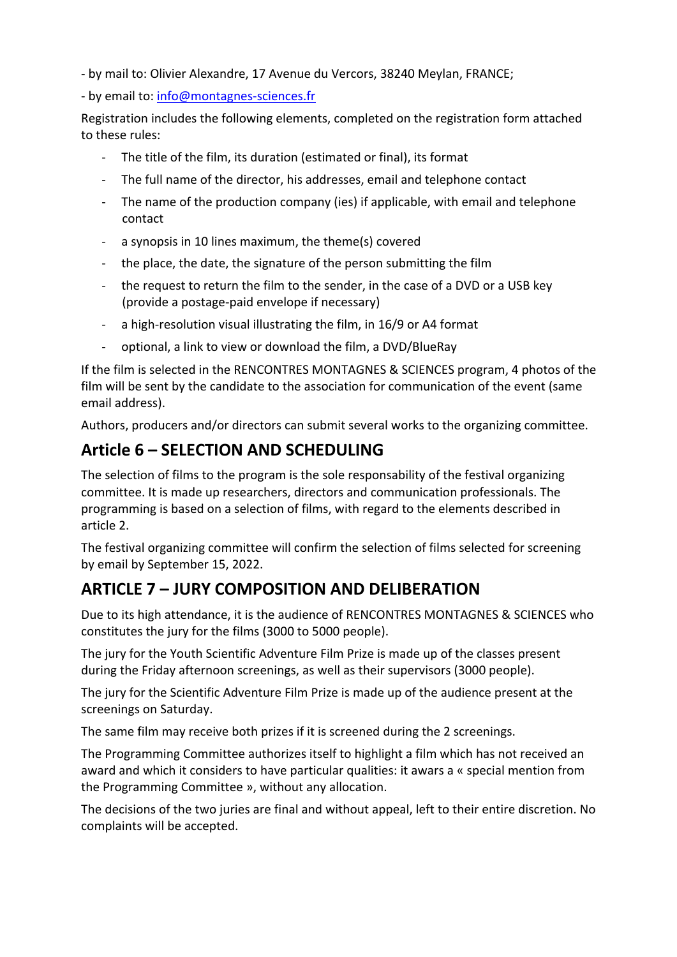- by mail to: Olivier Alexandre, 17 Avenue du Vercors, 38240 Meylan, FRANCE;

- by email to: info@montagnes-sciences.fr

Registration includes the following elements, completed on the registration form attached to these rules:

- The title of the film, its duration (estimated or final), its format
- The full name of the director, his addresses, email and telephone contact
- The name of the production company (ies) if applicable, with email and telephone contact
- a synopsis in 10 lines maximum, the theme(s) covered
- the place, the date, the signature of the person submitting the film
- the request to return the film to the sender, in the case of a DVD or a USB key (provide a postage-paid envelope if necessary)
- a high-resolution visual illustrating the film, in 16/9 or A4 format
- optional, a link to view or download the film, a DVD/BlueRay

If the film is selected in the RENCONTRES MONTAGNES & SCIENCES program, 4 photos of the film will be sent by the candidate to the association for communication of the event (same email address).

Authors, producers and/or directors can submit several works to the organizing committee.

#### **Article 6 – SELECTION AND SCHEDULING**

The selection of films to the program is the sole responsability of the festival organizing committee. It is made up researchers, directors and communication professionals. The programming is based on a selection of films, with regard to the elements described in article 2.

The festival organizing committee will confirm the selection of films selected for screening by email by September 15, 2022.

#### **ARTICLE 7 – JURY COMPOSITION AND DELIBERATION**

Due to its high attendance, it is the audience of RENCONTRES MONTAGNES & SCIENCES who constitutes the jury for the films (3000 to 5000 people).

The jury for the Youth Scientific Adventure Film Prize is made up of the classes present during the Friday afternoon screenings, as well as their supervisors (3000 people).

The jury for the Scientific Adventure Film Prize is made up of the audience present at the screenings on Saturday.

The same film may receive both prizes if it is screened during the 2 screenings.

The Programming Committee authorizes itself to highlight a film which has not received an award and which it considers to have particular qualities: it awars a « special mention from the Programming Committee », without any allocation.

The decisions of the two juries are final and without appeal, left to their entire discretion. No complaints will be accepted.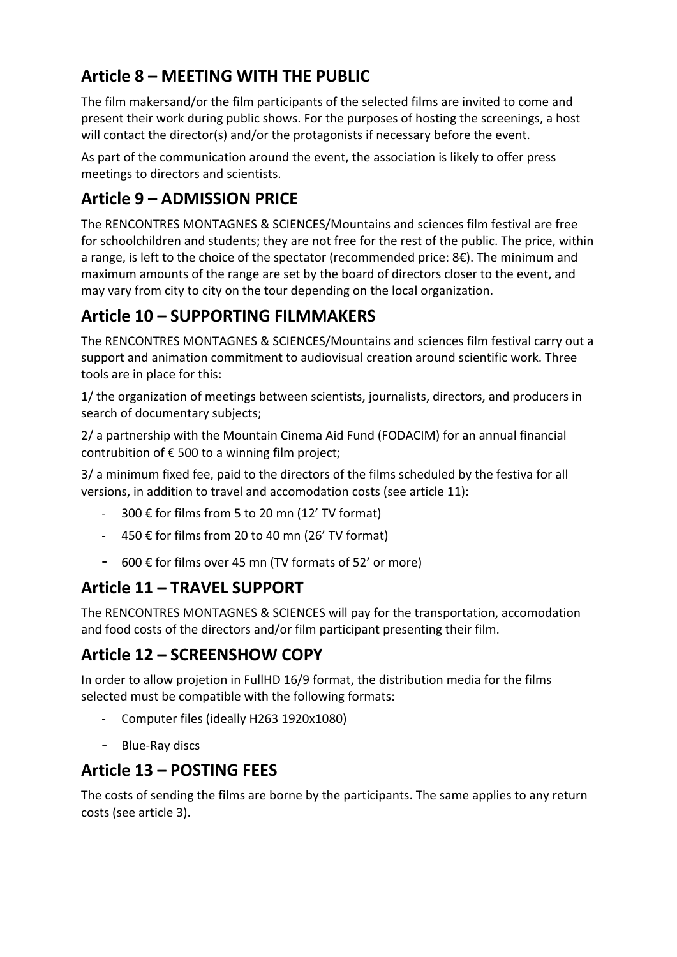#### **Article 8 – MEETING WITH THE PUBLIC**

The film makersand/or the film participants of the selected films are invited to come and present their work during public shows. For the purposes of hosting the screenings, a host will contact the director(s) and/or the protagonists if necessary before the event.

As part of the communication around the event, the association is likely to offer press meetings to directors and scientists.

#### **Article 9 – ADMISSION PRICE**

The RENCONTRES MONTAGNES & SCIENCES/Mountains and sciences film festival are free for schoolchildren and students; they are not free for the rest of the public. The price, within a range, is left to the choice of the spectator (recommended price: 8€). The minimum and maximum amounts of the range are set by the board of directors closer to the event, and may vary from city to city on the tour depending on the local organization.

#### **Article 10 – SUPPORTING FILMMAKERS**

The RENCONTRES MONTAGNES & SCIENCES/Mountains and sciences film festival carry out a support and animation commitment to audiovisual creation around scientific work. Three tools are in place for this:

1/ the organization of meetings between scientists, journalists, directors, and producers in search of documentary subjects;

2/ a partnership with the Mountain Cinema Aid Fund (FODACIM) for an annual financial contrubition of  $\epsilon$  500 to a winning film project;

3/ a minimum fixed fee, paid to the directors of the films scheduled by the festiva for all versions, in addition to travel and accomodation costs (see article 11):

- 300 € for films from 5 to 20 mn (12' TV format)
- 450 € for films from 20 to 40 mn (26' TV format)
- 600 € for films over 45 mn (TV formats of 52' or more)

#### **Article 11 – TRAVEL SUPPORT**

The RENCONTRES MONTAGNES & SCIENCES will pay for the transportation, accomodation and food costs of the directors and/or film participant presenting their film.

#### **Article 12 – SCREENSHOW COPY**

In order to allow projetion in FullHD 16/9 format, the distribution media for the films selected must be compatible with the following formats:

- Computer files (ideally H263 1920x1080)
- Blue-Ray discs

#### **Article 13 – POSTING FEES**

The costs of sending the films are borne by the participants. The same applies to any return costs (see article 3).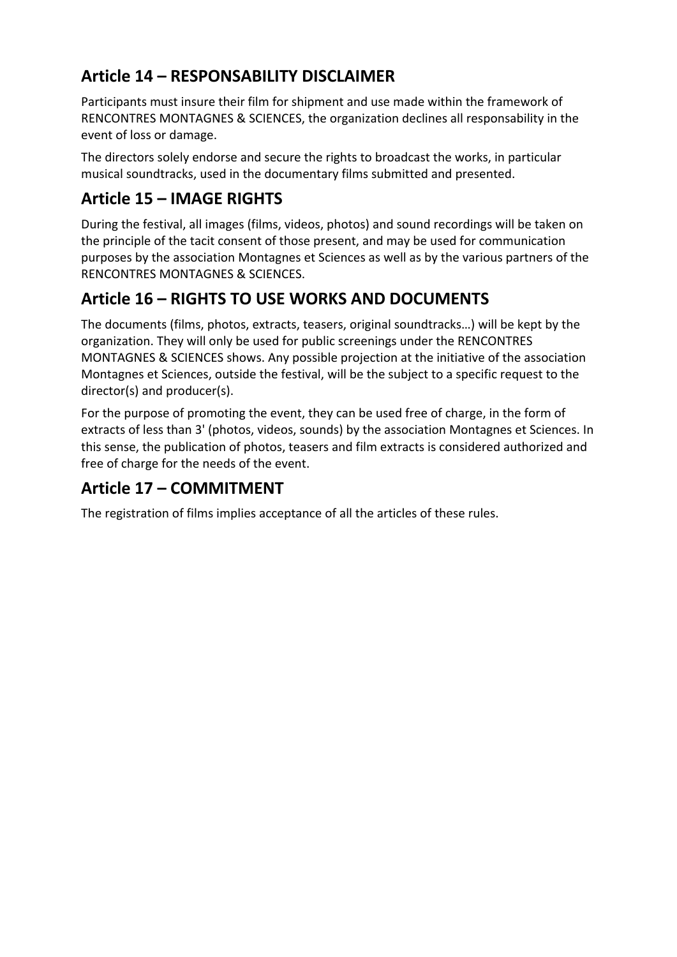#### **Article 14 – RESPONSABILITY DISCLAIMER**

Participants must insure their film for shipment and use made within the framework of RENCONTRES MONTAGNES & SCIENCES, the organization declines all responsability in the event of loss or damage.

The directors solely endorse and secure the rights to broadcast the works, in particular musical soundtracks, used in the documentary films submitted and presented.

#### **Article 15 – IMAGE RIGHTS**

During the festival, all images (films, videos, photos) and sound recordings will be taken on the principle of the tacit consent of those present, and may be used for communication purposes by the association Montagnes et Sciences as well as by the various partners of the RENCONTRES MONTAGNES & SCIENCES.

#### **Article 16 – RIGHTS TO USE WORKS AND DOCUMENTS**

The documents (films, photos, extracts, teasers, original soundtracks…) will be kept by the organization. They will only be used for public screenings under the RENCONTRES MONTAGNES & SCIENCES shows. Any possible projection at the initiative of the association Montagnes et Sciences, outside the festival, will be the subject to a specific request to the director(s) and producer(s).

For the purpose of promoting the event, they can be used free of charge, in the form of extracts of less than 3' (photos, videos, sounds) by the association Montagnes et Sciences. In this sense, the publication of photos, teasers and film extracts is considered authorized and free of charge for the needs of the event.

#### **Article 17 – COMMITMENT**

The registration of films implies acceptance of all the articles of these rules.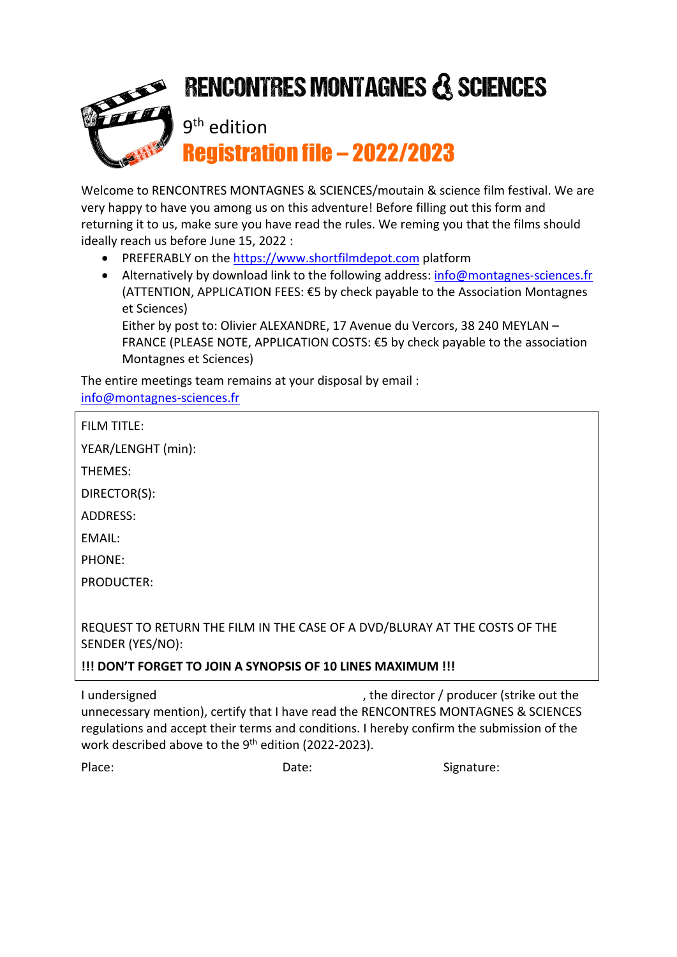## **RENCONTRES MONTAGNES & SCIENCES** 9th edition Registration file – 2022/2023

Welcome to RENCONTRES MONTAGNES & SCIENCES/moutain & science film festival. We are very happy to have you among us on this adventure! Before filling out this form and returning it to us, make sure you have read the rules. We reming you that the films should ideally reach us before June 15, 2022 :

- PREFERABLY on the https://www.shortfilmdepot.com platform
- Alternatively by download link to the following address: info@montagnes-sciences.fr (ATTENTION, APPLICATION FEES: €5 by check payable to the Association Montagnes et Sciences)

Either by post to: Olivier ALEXANDRE, 17 Avenue du Vercors, 38 240 MEYLAN – FRANCE (PLEASE NOTE, APPLICATION COSTS: €5 by check payable to the association Montagnes et Sciences)

The entire meetings team remains at your disposal by email : info@montagnes-sciences.fr

FILM TITLE:

YEAR/LENGHT (min):

THEMES:

DIRECTOR(S):

ADDRESS:

EMAIL:

PHONE:

PRODUCTER:

REQUEST TO RETURN THE FILM IN THE CASE OF A DVD/BLURAY AT THE COSTS OF THE SENDER (YES/NO):

**!!! DON'T FORGET TO JOIN A SYNOPSIS OF 10 LINES MAXIMUM !!!**

I undersigned a state of the director / producer (strike out the late of the late of the late of the late of the late of the late of the late of the late of the late of the late of the late of the late of the late of the l unnecessary mention), certify that I have read the RENCONTRES MONTAGNES & SCIENCES regulations and accept their terms and conditions. I hereby confirm the submission of the work described above to the 9<sup>th</sup> edition (2022-2023).

Place: Case of Caternal Date: Caternal Date: Signature: Signature: